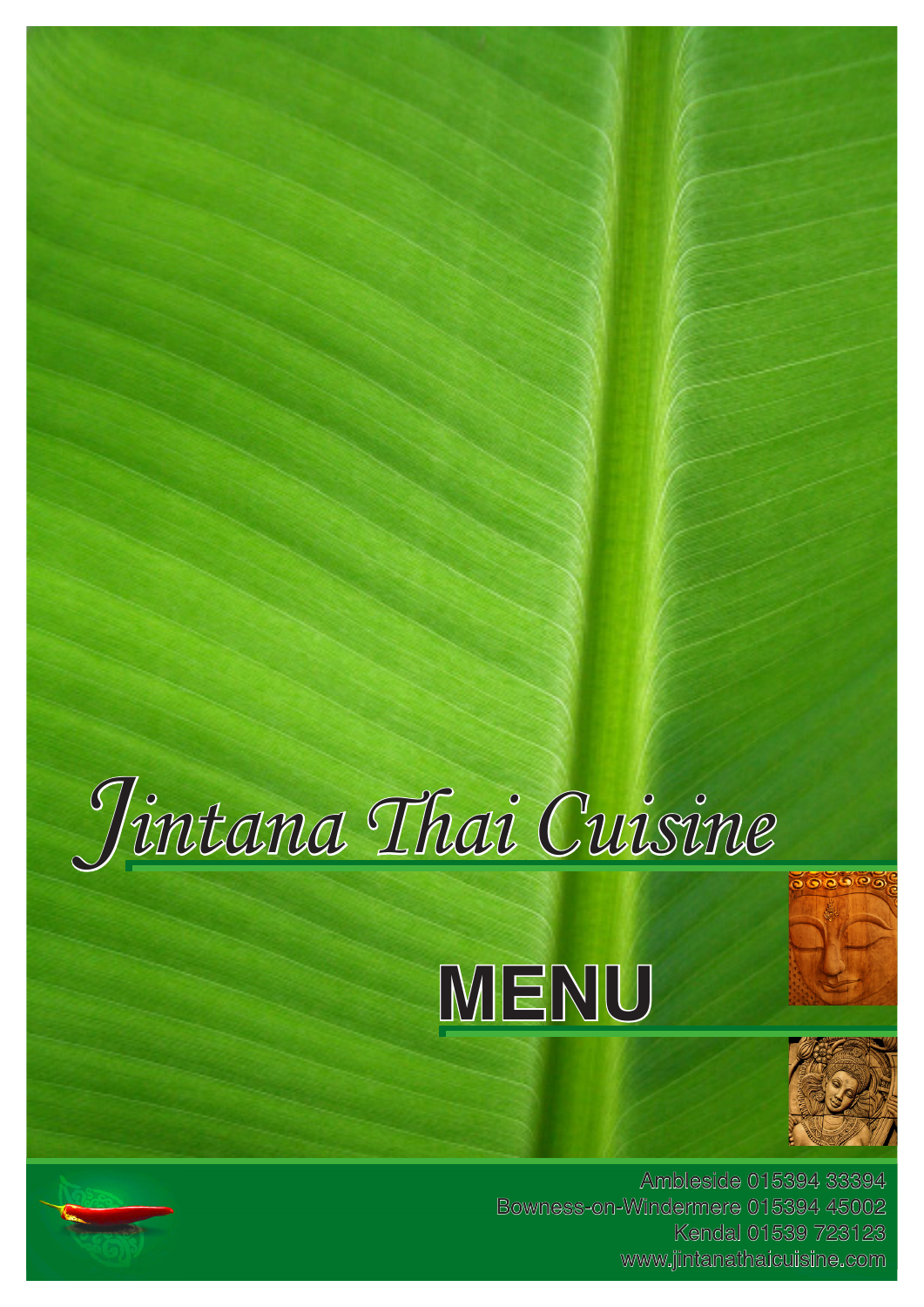







Ambleside 015394 33394 Bowness-on-Windermere 015394 45002 Kendal 01539 723123 www.jintanathaicuisine.com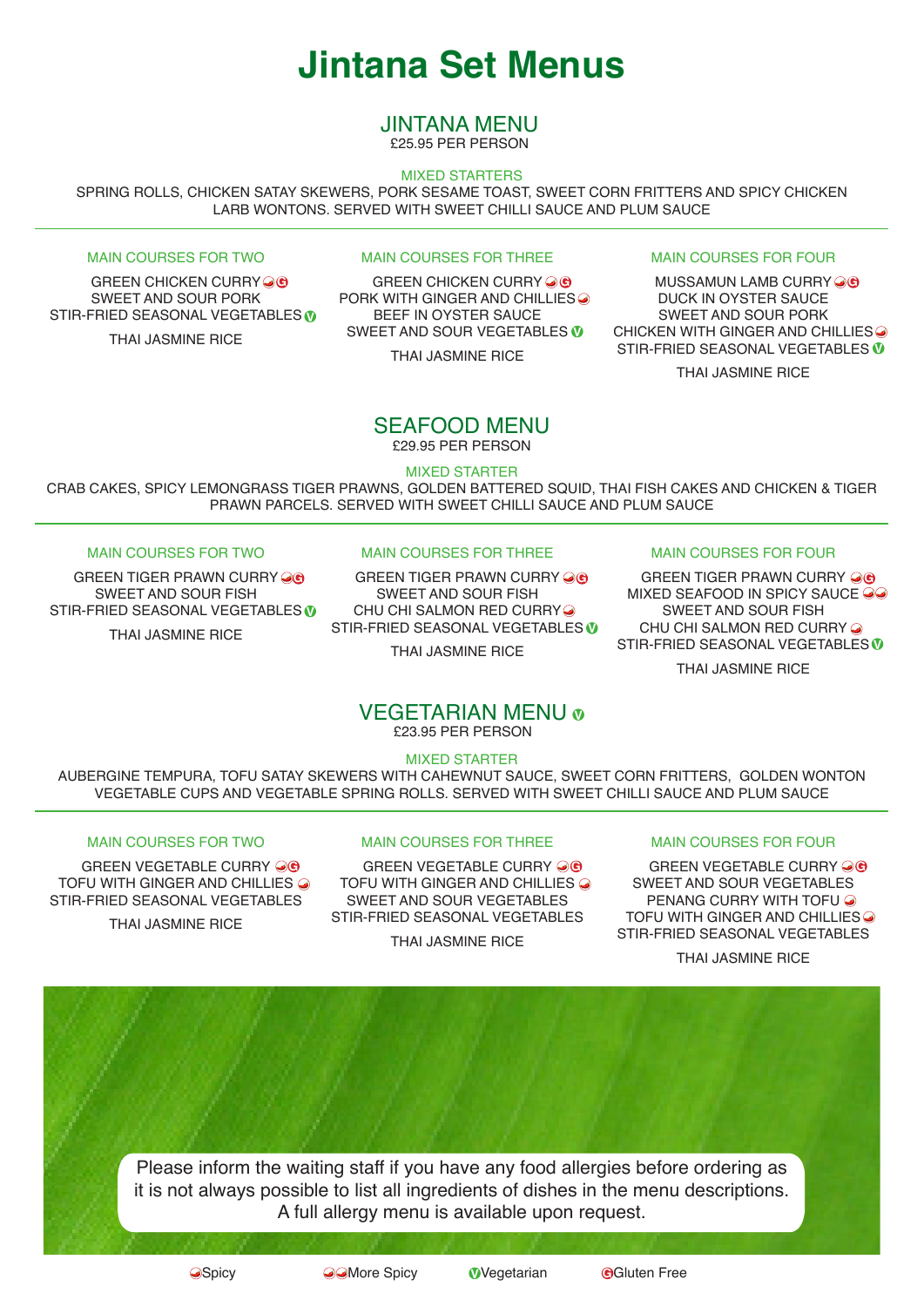# **Jintana Set Menus**

# JINTANA MENU

£25.95 PER PERSON

### MIXED STARTERS

SPRING ROLLS, CHICKEN SATAY SKEWERS, PORK SESAME TOAST, SWEET CORN FRITTERS AND SPICY CHICKEN LARB WONTONS. SERVED WITH SWEET CHILLI SAUCE AND PLUM SAUCE

#### MAIN COURSES FOR TWO

GREEN CHICKEN CURRY **OG** SWEET AND SOUR PORK STIR-FRIED SEASONAL VEGETABLES **V**

THAI JASMINE RICE

### MAIN COURSES FOR THREE

GREEN CHICKEN CURRY OG PORK WITH GINGER AND CHILLIES <sup>O</sup> BEEF IN OYSTER SAUCE SWEET AND SOUR VEGETABLES **V** THAI JASMINE RICE MUSSAMUN LAMB CURRY **G G G**

### MAIN COURSES FOR FOUR

DUCK IN OYSTER SAUCE SWEET AND SOUR PORK CHICKEN WITH GINGER AND CHILLIES. STIR-FRIED SEASONAL VEGETABLES **V**

THAI JASMINE RICE

### SEAFOOD MENU £29.95 PER PERSON

MIXED STARTER

CRAB CAKES, SPICY LEMONGRASS TIGER PRAWNS, GOLDEN BATTERED SQUID, THAI FISH CAKES AND CHICKEN & TIGER PRAWN PARCELS. SERVED WITH SWEET CHILLI SAUCE AND PLUM SAUCE

### MAIN COURSES FOR TWO

GREEN TIGER PRAWN CURRY OR SWEET AND SOUR FISH STIR-FRIED SEASONAL VEGETABLES **V** THAI JASMINE RICE

### MAIN COURSES FOR THREE

GREEN TIGER PRAWN CURRY **G G G** SWEET AND SOUR FISH CHU CHI SALMON RED CURRY STIR-FRIED SEASONAL VEGETABLES **V** THAI JASMINE RICE

### MAIN COURSES FOR FOUR

GREEN TIGER PRAWN CURRY **OG** MIXED SEAFOOD IN SPICY SAUCE OO SWEET AND SOUR FISH CHU CHI SALMON RED CURRY & STIR-FRIED SEASONAL VEGETABLES **V**

THAI JASMINE RICE

### **VEGETARIAN MENU** o £23.95 PER PERSON

MIXED STARTER

AUBERGINE TEMPURA, TOFU SATAY SKEWERS WITH CAHEWNUT SAUCE, SWEET CORN FRITTERS, GOLDEN WONTON VEGETABLE CUPS AND VEGETABLE SPRING ROLLS. SERVED WITH SWEET CHILLI SAUCE AND PLUM SAUCE

### MAIN COURSES FOR TWO

GREEN VEGETABLE CURRY @ TOFU WITH GINGER AND CHILLIES  $\odot$ STIR-FRIED SEASONAL VEGETABLES

THAI JASMINE RICE

### MAIN COURSES FOR THREE

GREEN VEGETABLE CURRY **G G G** TOFU WITH GINGER AND CHILLIES  $\odot$ SWEET AND SOUR VEGETABLES STIR-FRIED SEASONAL VEGETABLES

THAI JASMINE RICE

### MAIN COURSES FOR FOUR

GREEN VEGETABLE CURRY @ ® SWEET AND SOUR VEGETABLES PENANG CURRY WITH TOFU TOFU WITH GINGER AND CHILLIES STIR-FRIED SEASONAL VEGETABLES

THAI JASMINE RICE

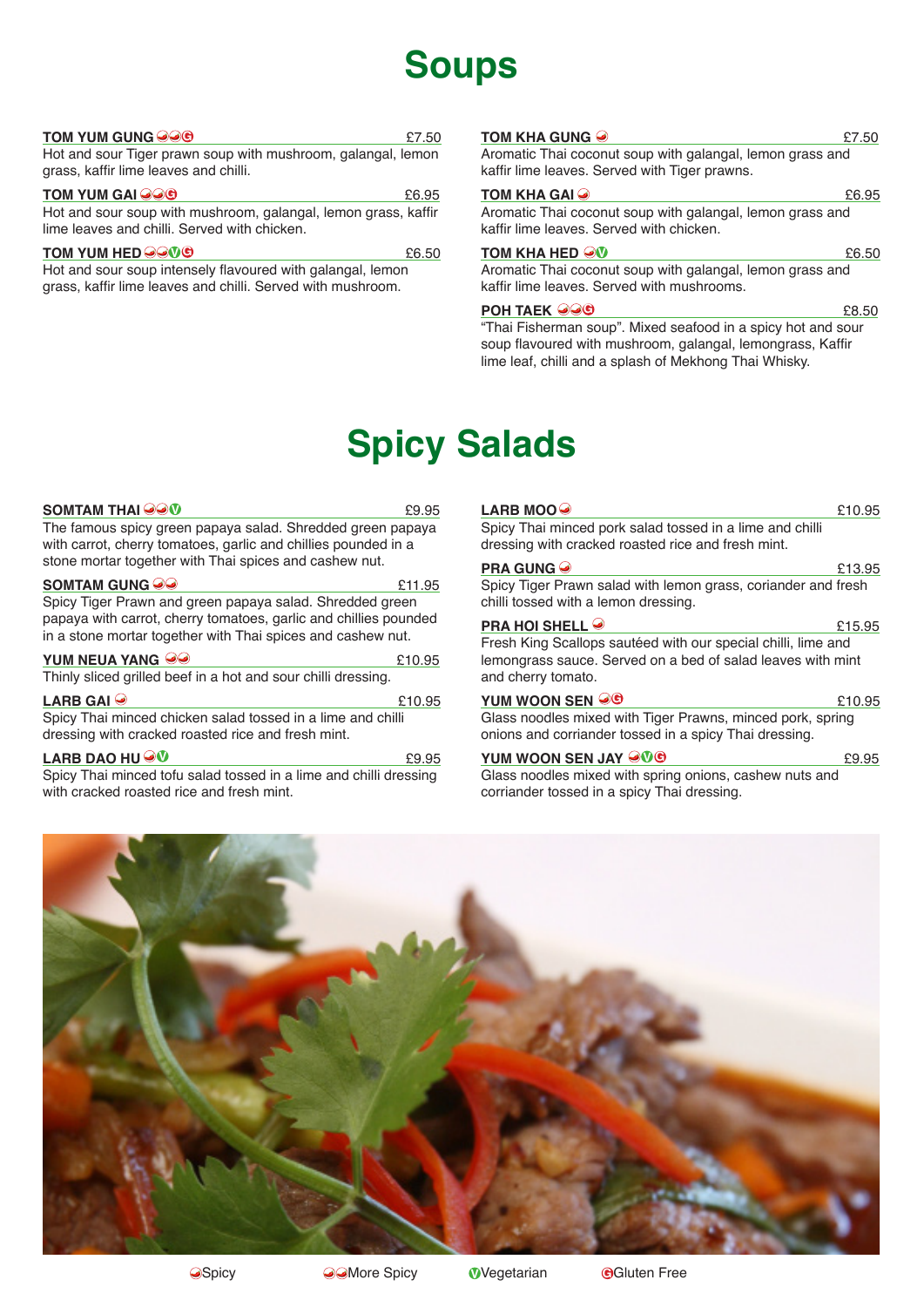# **Soups**

#### **TOM YUM GUNG 200** 27.50 Hot and sour Tiger prawn soup with mushroom, galangal, lemon grass, kaffir lime leaves and chilli.

**TOM YUM GAI 226 G** Hot and sour soup with mushroom, galangal, lemon grass, kaffir lime leaves and chilli. Served with chicken.

**TOM YUM HED GGM G**  $6.50$ 

Hot and sour soup intensely flavoured with galangal, lemon grass, kaffir lime leaves and chilli. Served with mushroom.

### **TOM KHA GUNG**

Aromatic Thai coconut soup with galangal, lemon grass and kaffir lime leaves. Served with Tiger prawns.

### **TOM KHA GAI <sup>2</sup>**

Aromatic Thai coconut soup with galangal, lemon grass and kaffir lime leaves. Served with chicken.

### $\frac{1}{2}$  **COM KHA HED**  $\frac{1}{2}$  **<b>COM KHA HED**  $\frac{1}{2}$  **COM**

Aromatic Thai coconut soup with galangal, lemon grass and kaffir lime leaves. Served with mushrooms.

### **POH TAEK**  $\bigcirc \bigcirc \bigcirc$  **6 G**

"Thai Fisherman soup". Mixed seafood in a spicy hot and sour soup flavoured with mushroom, galangal, lemongrass, Kaffir lime leaf, chilli and a splash of Mekhong Thai Whisky.

# **Spicy Salads**

| $\mathsf{SOMTAM\,THAI}\widehat{\boldsymbol{\otimes}\boldsymbol{\otimes}\boldsymbol{\mathsf{V}}}$                                                                                            | £9.95  |
|---------------------------------------------------------------------------------------------------------------------------------------------------------------------------------------------|--------|
| The famous spicy green papaya salad. Shredded green papaya<br>with carrot, cherry tomatoes, garlic and chillies pounded in a<br>stone mortar together with Thai spices and cashew nut.      |        |
|                                                                                                                                                                                             | £11.95 |
| Spicy Tiger Prawn and green papaya salad. Shredded green<br>papaya with carrot, cherry tomatoes, garlic and chillies pounded<br>in a stone mortar together with Thai spices and cashew nut. |        |
| YUM NEUA YANG <i>⊖</i> ⊖                                                                                                                                                                    | £10.95 |
| Thinly sliced grilled beef in a hot and sour chilli dressing.                                                                                                                               |        |
| LARB GAI $\odot$                                                                                                                                                                            | £10.95 |
| Spicy Thai minced chicken salad tossed in a lime and chilli<br>dressing with cracked roasted rice and fresh mint.                                                                           |        |
| <b>LARB DAO HU <math>\odot \!\!\! \Phi</math></b>                                                                                                                                           | £9.95  |

Spicy Thai minced tofu salad tossed in a lime and chilli dressing with cracked roasted rice and fresh mint.

# **LARB MOO<sup>O</sup>**

Spicy Thai minced pork salad tossed in a lime and chilli dressing with cracked roasted rice and fresh mint.

### **PRA GUNG**

Spicy Tiger Prawn salad with lemon grass, coriander and fresh chilli tossed with a lemon dressing.

### **PRA HOI SHELL**  $\odot$  615.95

Fresh King Scallops sautéed with our special chilli, lime and lemongrass sauce. Served on a bed of salad leaves with mint and cherry tomato.

#### **<u>YUM WOON SEN**  $\bigcirc \Theta$  **6 210.95</u>**

Glass noodles mixed with Tiger Prawns, minced pork, spring onions and corriander tossed in a spicy Thai dressing.

### **YUM WOON SEN JAY** £9.95 **V G**

Glass noodles mixed with spring onions, cashew nuts and corriander tossed in a spicy Thai dressing.

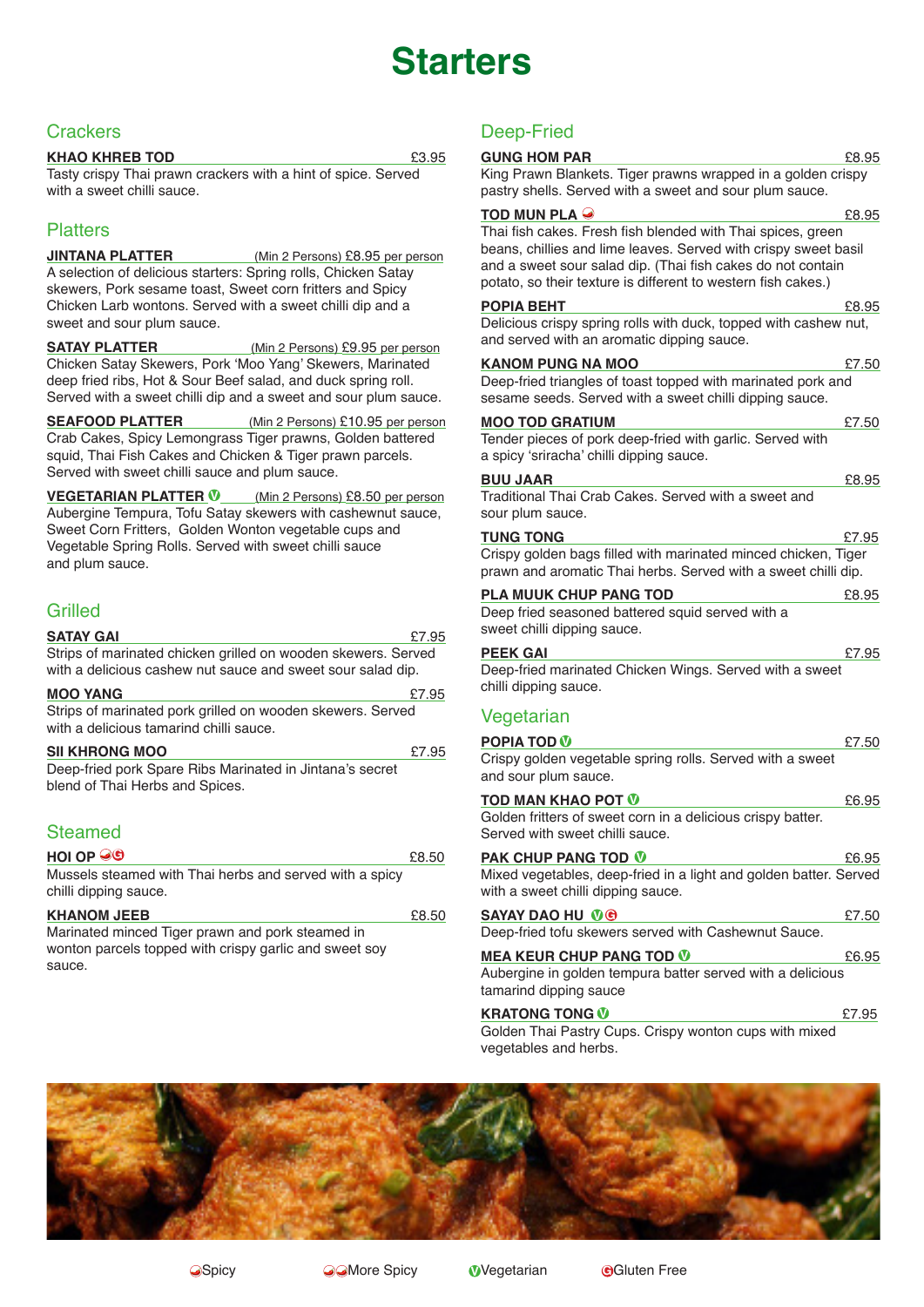# **Starters**

# **Crackers**

### **KHAO KHREB TOD** £3.95

Tasty crispy Thai prawn crackers with a hint of spice. Served with a sweet chilli sauce.

# **Platters**

**JINTANA PLATTER** (Min 2 Persons) £8.95 per person A selection of delicious starters: Spring rolls, Chicken Satay skewers, Pork sesame toast, Sweet corn fritters and Spicy Chicken Larb wontons. Served with a sweet chilli dip and a sweet and sour plum sauce.

**SATAY PLATTER** (Min 2 Persons) £9.95 per person Chicken Satay Skewers, Pork 'Moo Yang' Skewers, Marinated deep fried ribs, Hot & Sour Beef salad, and duck spring roll. Served with a sweet chilli dip and a sweet and sour plum sauce.

**SEAFOOD PLATTER** (Min 2 Persons) £10.95 per person Crab Cakes, Spicy Lemongrass Tiger prawns, Golden battered squid, Thai Fish Cakes and Chicken & Tiger prawn parcels. Served with sweet chilli sauce and plum sauce.

**VEGETARIAN PLATTER V** (Min 2 Persons) £8.50 per person Aubergine Tempura, Tofu Satay skewers with cashewnut sauce, Sweet Corn Fritters, Golden Wonton vegetable cups and Vegetable Spring Rolls. Served with sweet chilli sauce and plum sauce.

### Grilled

| <b>SATAY GAI</b>                                                                                                             | £7.95 |
|------------------------------------------------------------------------------------------------------------------------------|-------|
| Strips of marinated chicken grilled on wooden skewers. Served<br>with a delicious cashew nut sauce and sweet sour salad dip. |       |
| <b>MOO YANG</b>                                                                                                              | £7.95 |
| Strips of marinated pork grilled on wooden skewers. Served<br>with a delicious tamarind chilli sauce.                        |       |
| <b>SII KHRONG MOO</b>                                                                                                        | £7.95 |
| Deep-fried pork Spare Ribs Marinated in Jintana's secret<br>blend of Thai Herbs and Spices.                                  |       |
| $C1 = 0$                                                                                                                     |       |

# Steamed

| $\overline{\mathsf{H}}$ or $\overline{\mathsf{H}}$      | £8.50 |
|---------------------------------------------------------|-------|
| Mussels steamed with Thai herbs and served with a spicy |       |
| chilli dipping sauce.                                   |       |

| <b>KHANOM JEEB</b>                                     | £8.50 |
|--------------------------------------------------------|-------|
| Marinated minced Tiger prawn and pork steamed in       |       |
| wonton parcels topped with crispy garlic and sweet soy |       |
| sauce.                                                 |       |

# Deep-Fried

| <b>GUNG HOM PAR</b><br>King Prawn Blankets. Tiger prawns wrapped in a golden crispy                                                                                                                                                                                                    | £8.95 |
|----------------------------------------------------------------------------------------------------------------------------------------------------------------------------------------------------------------------------------------------------------------------------------------|-------|
| pastry shells. Served with a sweet and sour plum sauce.                                                                                                                                                                                                                                |       |
| TOD MUN PLA $\Theta$<br>Thai fish cakes. Fresh fish blended with Thai spices, green<br>beans, chillies and lime leaves. Served with crispy sweet basil<br>and a sweet sour salad dip. (Thai fish cakes do not contain<br>potato, so their texture is different to western fish cakes.) | £8.95 |
| POPIA BEHT                                                                                                                                                                                                                                                                             | £8.95 |
| Delicious crispy spring rolls with duck, topped with cashew nut,<br>and served with an aromatic dipping sauce.                                                                                                                                                                         |       |
| <b>KANOM PUNG NA MOO</b>                                                                                                                                                                                                                                                               | £7.50 |
| Deep-fried triangles of toast topped with marinated pork and<br>sesame seeds. Served with a sweet chilli dipping sauce.                                                                                                                                                                |       |
| <b>MOO TOD GRATIUM</b>                                                                                                                                                                                                                                                                 | £7.50 |
| Tender pieces of pork deep-fried with garlic. Served with<br>a spicy 'sriracha' chilli dipping sauce.                                                                                                                                                                                  |       |
| <b>BUU JAAR</b>                                                                                                                                                                                                                                                                        | £8.95 |
| Traditional Thai Crab Cakes. Served with a sweet and<br>sour plum sauce.                                                                                                                                                                                                               |       |
| <b>TUNG TONG</b>                                                                                                                                                                                                                                                                       | £7.95 |
| Crispy golden bags filled with marinated minced chicken, Tiger<br>prawn and aromatic Thai herbs. Served with a sweet chilli dip.                                                                                                                                                       |       |
| <b>PLA MUUK CHUP PANG TOD</b>                                                                                                                                                                                                                                                          | £8.95 |
| Deep fried seasoned battered squid served with a<br>sweet chilli dipping sauce.                                                                                                                                                                                                        |       |
| <b>PEEK GAI</b>                                                                                                                                                                                                                                                                        | £7.95 |
| Deep-fried marinated Chicken Wings. Served with a sweet<br>chilli dipping sauce.                                                                                                                                                                                                       |       |
| Vegetarian                                                                                                                                                                                                                                                                             |       |
| <b>POPIA TOD V</b>                                                                                                                                                                                                                                                                     | £7.50 |
| Crispy golden vegetable spring rolls. Served with a sweet<br>and sour plum sauce.                                                                                                                                                                                                      |       |
| <b>TOD MAN KHAO POT W</b>                                                                                                                                                                                                                                                              | £6.95 |
| Golden fritters of sweet corn in a delicious crispy batter.<br>Served with sweet chilli sauce.                                                                                                                                                                                         |       |
| <b>PAK CHUP PANG TOD 10</b>                                                                                                                                                                                                                                                            | £6.95 |
| Mixed vegetables, deep-fried in a light and golden batter. Served<br>with a sweet chilli dipping sauce.                                                                                                                                                                                |       |
| <b>SAYAY DAO HU MG</b>                                                                                                                                                                                                                                                                 | £7.50 |
| Deep-fried tofu skewers served with Cashewnut Sauce.                                                                                                                                                                                                                                   |       |
| <b>MEA KEUR CHUP PANG TOD ©</b>                                                                                                                                                                                                                                                        | £6.95 |
| Aubergine in golden tempura batter served with a delicious<br>tamarind dipping sauce                                                                                                                                                                                                   |       |
| <b>KRATONG TONG W</b>                                                                                                                                                                                                                                                                  | £7.95 |
| Golden Thai Pastry Cups. Crispy wonton cups with mixed<br>vegetables and herbs.                                                                                                                                                                                                        |       |

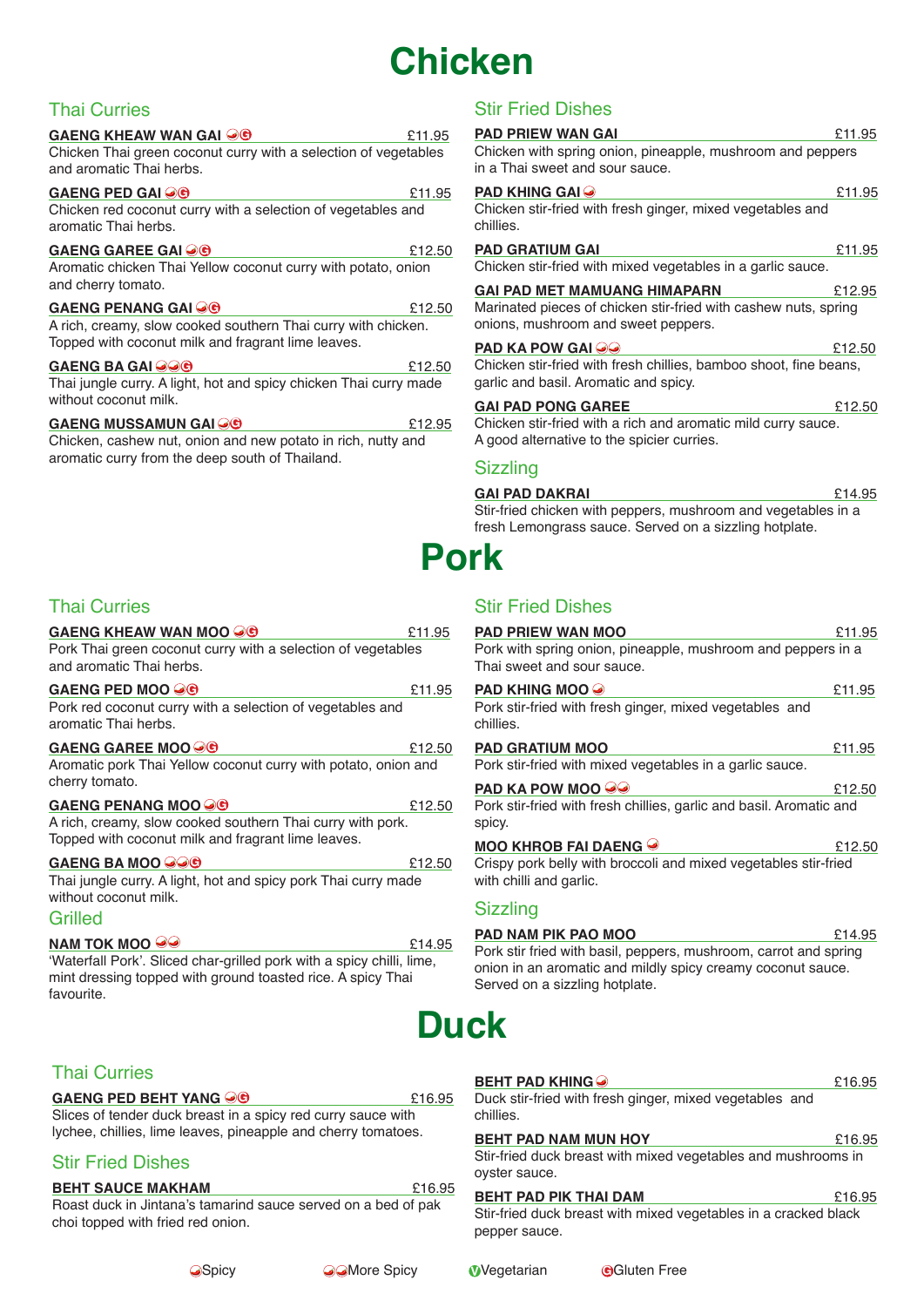# **Chicken**

# Thai Curries

#### **GAENG KHEAW WAN GAI @C** 211.95 Chicken Thai green coconut curry with a selection of vegetables and aromatic Thai herbs.

**GAENG PED GAI @C** 2000 2000 211.95 Chicken red coconut curry with a selection of vegetables and aromatic Thai herbs.

### **GAENG GAREE GAI 2 G**

Aromatic chicken Thai Yellow coconut curry with potato, onion and cherry tomato.

### **GAENG PENANG GAI 20 AU 2008 PENANG GAI 4 RM** A rich, creamy, slow cooked southern Thai curry with chicken. Topped with coconut milk and fragrant lime leaves.

#### **GAENG BA GAI** £12.50 **G** Thai jungle curry. A light, hot and spicy chicken Thai curry made without coconut milk.

# **GAENG MUSSAMUN GAI** £12.95 **G**

Chicken, cashew nut, onion and new potato in rich, nutty and aromatic curry from the deep south of Thailand.

# Thai Curries

### **GAENG KHEAW WAN MOO OO** Pork Thai green coconut curry with a selection of vegetables and aromatic Thai herbs.

**GAENG PED MOO**  $\bigcirc \mathbf{C}$  211.95 Pork red coconut curry with a selection of vegetables and aromatic Thai herbs. **GAENG GAREE MOO** £12.50 **G** Aromatic pork Thai Yellow coconut curry with potato, onion and cherry tomato. **GAENG PENANG MOO 20** 20 212.50 A rich, creamy, slow cooked southern Thai curry with pork. Topped with coconut milk and fragrant lime leaves.

#### **GAENG BA MOO 200 CONSTRUCTER SETS** Thai jungle curry. A light, hot and spicy pork Thai curry made without coconut milk.

### Grilled

### **NAM TOK MOO <sup>33</sup>**

'Waterfall Pork'. Sliced char-grilled pork with a spicy chilli, lime, mint dressing topped with ground toasted rice. A spicy Thai favourite.

# Thai Curries

### **GAENG PED BEHT YANG OG EXECUTION RELEVANG PED BEHT YANG OG EXECUTION RELEVANG PED BEHT YANG OG EXECUTION RELEVANG**

Slices of tender duck breast in a spicy red curry sauce with lychee, chillies, lime leaves, pineapple and cherry tomatoes.

# Stir Fried Dishes

### **BEHT SAUCE MAKHAM**  $£16.95$

Roast duck in Jintana's tamarind sauce served on a bed of pak choi topped with fried red onion.

| <b>PAD PRIEW WAN GAI</b><br>Chicken with spring onion, pineapple, mushroom and peppers<br>in a Thai sweet and sour sauce.              | £11.95 |
|----------------------------------------------------------------------------------------------------------------------------------------|--------|
| <b>PAD KHING GAI <math>\bullet</math></b><br>Chicken stir-fried with fresh ginger, mixed vegetables and<br>chillies.                   | £11.95 |
| <b>PAD GRATIUM GAI</b><br>Chicken stir-fried with mixed vegetables in a garlic sauce.                                                  | £11.95 |
| GAI PAD MET MAMUANG HIMAPARN<br>Marinated pieces of chicken stir-fried with cashew nuts, spring<br>onions, mushroom and sweet peppers. | £12.95 |
| <b>PAD KA POW GAI</b><br>Chicken stir-fried with fresh chillies, bamboo shoot, fine beans,<br>garlic and basil. Aromatic and spicy.    | £12.50 |
| <b>GAI PAD PONG GAREE</b>                                                                                                              | £12.50 |

Chicken stir-fried with a rich and aromatic mild curry sauce. A good alternative to the spicier curries.

### **Sizzling**

### **GAI PAD DAKRAI**  $£14.95$

Stir-fried chicken with peppers, mushroom and vegetables in a fresh Lemongrass sauce. Served on a sizzling hotplate.

# **Pork**

# Stir Fried Dishes

| <b>PAD PRIEW WAN MOO</b>                                                                   | £11.95 |
|--------------------------------------------------------------------------------------------|--------|
| Pork with spring onion, pineapple, mushroom and peppers in a<br>Thai sweet and sour sauce. |        |
| <b>PAD KHING MOO <math>\odot</math></b>                                                    | £11.95 |
| Pork stir-fried with fresh ginger, mixed vegetables and<br>chillies.                       |        |
| <b>PAD GRATIUM MOO</b>                                                                     | £11.95 |
| Pork stir-fried with mixed vegetables in a garlic sauce.                                   |        |
| <b>PAD KA POW MOO <math>\odot</math></b>                                                   | £12.50 |
| Pork stir-fried with fresh chillies, garlic and basil. Aromatic and<br>spicy.              |        |
| <b>MOO KHROB FAI DAENG ☉</b>                                                               | £12.50 |
| Crispy pork belly with broccoli and mixed vegetables stir-fried<br>with chilli and garlic. |        |
| <b>Sizzling</b>                                                                            |        |
| <b>PAD NAM PIK PAO MOO</b>                                                                 | £14.95 |
| Pork stir fried with basil, peppers, mushroom, carrot and spring                           |        |

Pork stir fried with basil, peppers, mushroom, carrot and spring onion in an aromatic and mildly spicy creamy coconut sauce. Served on a sizzling hotplate.

# **Duck**

| <b>BEHT PAD KHING</b><br>Duck stir-fried with fresh ginger, mixed vegetables and<br>chillies.                    | £16.95 |
|------------------------------------------------------------------------------------------------------------------|--------|
| <b>BEHT PAD NAM MUN HOY</b><br>Stir-fried duck breast with mixed vegetables and mushrooms in<br>oyster sauce.    | £16.95 |
| <b>BEHT PAD PIK THAI DAM</b><br>Stir-fried duck breast with mixed vegetables in a cracked black<br>pepper sauce. | £16.95 |

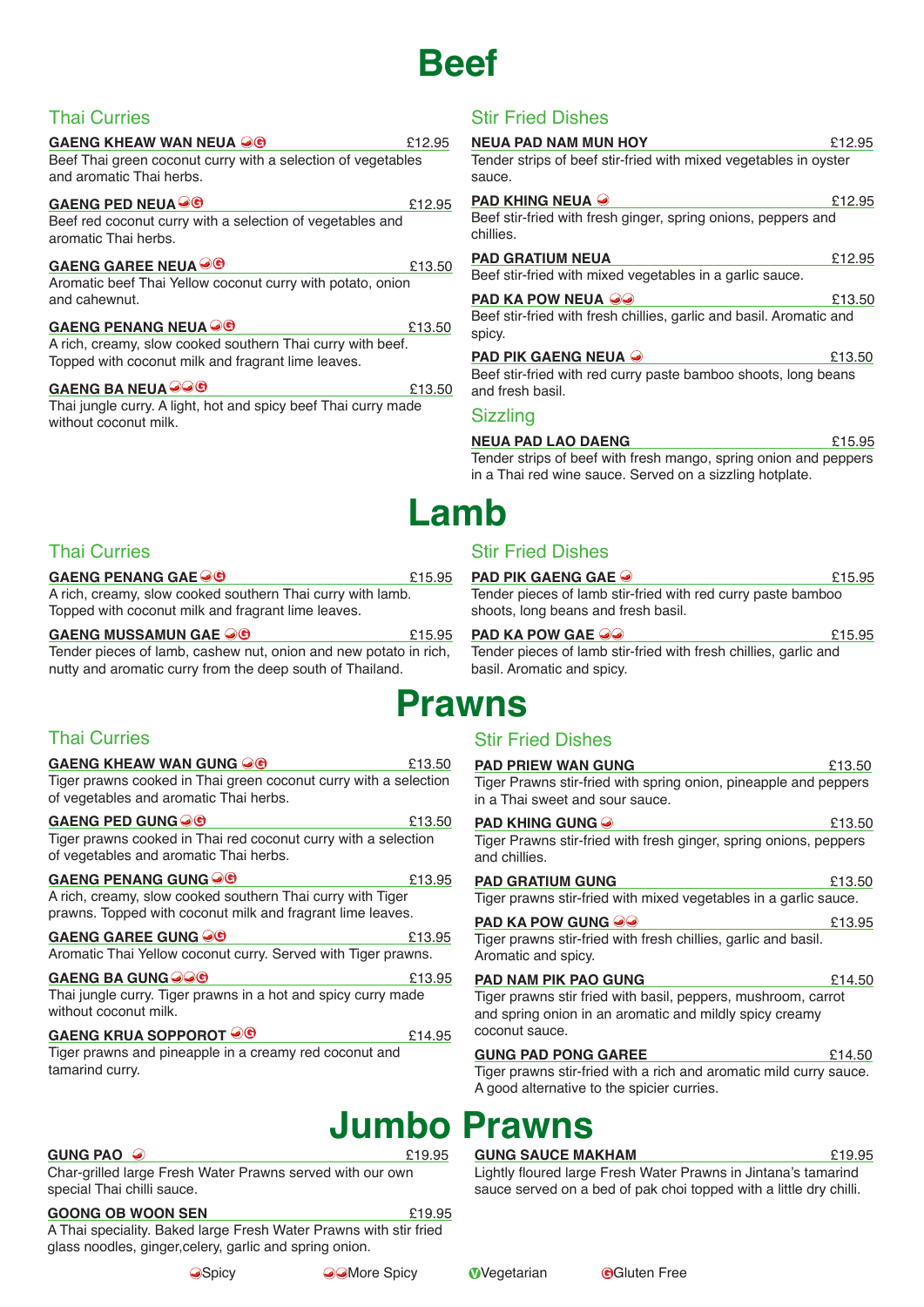# **Beef**

# Thai Curries

| <b>GAENG KHEAW WAN NEUA OG</b>                                 | £12.95 | <b>NE</b> |
|----------------------------------------------------------------|--------|-----------|
| Beef Thai green coconut curry with a selection of vegetables   |        | Te        |
| and aromatic Thai herbs.                                       |        | sa        |
| GAENG PED NEUA O ®                                             | £12.95 | PΑ        |
| Beef red coconut curry with a selection of vegetables and      |        | Be        |
| aromatic Thai herbs.                                           |        | ch        |
| GAENG GAREE NEUA <sup>●</sup>                                  | £13.50 | PΑ        |
| Aromatic beef Thai Yellow coconut curry with potato, onion     |        | Вe        |
| and cahewnut.                                                  |        | PΑ        |
| GAENG PENANG NEUA O ®                                          | £13.50 | Вe<br>sp  |
| A rich, creamy, slow cooked southern Thai curry with beef.     |        |           |
| Topped with coconut milk and fragrant lime leaves.             |        | PΔ        |
| GAENG BA NEUA OOG                                              | £13.50 | Be<br>an  |
| Thai jungle curry. A light, hot and spicy beef Thai curry made |        | Si        |
| without coconut milk.                                          |        |           |

# Stir Fried Dishes

| <b>NEUA PAD NAM MUN HOY</b><br>Tender strips of beef stir-fried with mixed vegetables in oyster<br>sauce. | £12.95 |
|-----------------------------------------------------------------------------------------------------------|--------|
| <b>PAD KHING NEUA <math>\Theta</math></b>                                                                 | £12.95 |
| Beef stir-fried with fresh ginger, spring onions, peppers and<br>chillies.                                |        |
| <b>PAD GRATIUM NEUA</b>                                                                                   | £12.95 |
| Beef stir-fried with mixed vegetables in a garlic sauce.                                                  |        |
| <b>PAD KA POW NEUA <math>\omega</math></b>                                                                | £13.50 |
| Beef stir-fried with fresh chillies, garlic and basil. Aromatic and<br>spicy.                             |        |
| <b>PAD PIK GAENG NEUA</b>                                                                                 | £13.50 |
| Beef stir-fried with red curry paste bamboo shoots, long beans<br>and fresh basil.                        |        |
| <b>Sizzling</b>                                                                                           |        |
| <b>NEUA PAD LAO DAENG</b>                                                                                 | £15.95 |

Tender strips of beef with fresh mango, spring onion and peppers in a Thai red wine sauce. Served on a sizzling hotplate.

**PAD PIK GAENG GAE**  $\odot$  £15.95 Tender pieces of lamb stir-fried with red curry paste bamboo

**PAD KA POW GAE 20 E15.95** Tender pieces of lamb stir-fried with fresh chillies, garlic and

**PAD PRIEW WAN GUNG E13.50** Tiger Prawns stir-fried with spring onion, pineapple and peppers

# **Lamb**

# Thai Curries

**GAENG PENANG GAE 3 REX 2018 15.95** A rich, creamy, slow cooked southern Thai curry with lamb. Topped with coconut milk and fragrant lime leaves.

### **GAENG MUSSAMUN GAE**  $\bigcirc$  **6 CONTEX CONTROLLY** 15.95

Tender pieces of lamb, cashew nut, onion and new potato in rich, nutty and aromatic curry from the deep south of Thailand.

# **Prawns** basil. Aromatic and spicy.

# Thai Curries

| GAENG KHEAW WAN GUNG OO                                          | £13.50 |
|------------------------------------------------------------------|--------|
| Tiger prawns cooked in Thai green coconut curry with a selection |        |
| of vegetables and aromatic Thai herbs.                           |        |

**GAENG PED GUNG CO Example 213.50** 

Tiger prawns cooked in Thai red coconut curry with a selection of vegetables and aromatic Thai herbs.

| <b>GAENG PENANG GUNG OG</b>                                | £13.95 |
|------------------------------------------------------------|--------|
| A rich, creamy, slow cooked southern Thai curry with Tiger |        |
| prawns. Topped with coconut milk and fragrant lime leaves. |        |

| GAENG GAREE GUNG ⊌G                                                                    | £13.95 |
|----------------------------------------------------------------------------------------|--------|
| Aromatic Thai Yellow coconut curry. Served with Tiger prawns.                          |        |
| GAENG BA GUNG OOG                                                                      | £13.95 |
| Thai jungle curry. Tiger prawns in a hot and spicy curry made<br>without coconut milk. |        |
| GAENG KRUA SOPPOROT <sup>○</sup> ©                                                     | £14.95 |

Tiger prawns and pineapple in a creamy red coconut and tamarind curry.

### **GUNG PAO**

Char-grilled large Fresh Water Prawns served with our own special Thai chilli sauce.

### **GOONG OB WOON SEN** £19.95

A Thai speciality. Baked large Fresh Water Prawns with stir fried glass noodles, ginger,celery, garlic and spring onion.



### **PAD KHING GUNG 6 E13.50** Tiger Prawns stir-fried with fresh ginger, spring onions, peppers

Stir Fried Dishes

in a Thai sweet and sour sauce.

Stir Fried Dishes

shoots, long beans and fresh basil.

| and chillies.                                                                                                                              |        |
|--------------------------------------------------------------------------------------------------------------------------------------------|--------|
| <b>PAD GRATIUM GUNG</b>                                                                                                                    | £13.50 |
| Tiger prawns stir-fried with mixed vegetables in a garlic sauce.                                                                           |        |
| <b>PAD KA POW GUNG OO</b>                                                                                                                  | £13.95 |
| Tiger prawns stir-fried with fresh chillies, garlic and basil.<br>Aromatic and spicy.                                                      |        |
|                                                                                                                                            |        |
| <b>PAD NAM PIK PAO GUNG</b>                                                                                                                | £14.50 |
| Tiger prawns stir fried with basil, peppers, mushroom, carrot<br>and spring onion in an aromatic and mildly spicy creamy<br>coconut sauce. |        |
| <b>GUNG PAD PONG GAREE</b>                                                                                                                 | £14.50 |

# **Jumbo Prawns**

**GUNG SAUCE MAKHAM** £19.95

Lightly floured large Fresh Water Prawns in Jintana's tamarind sauce served on a bed of pak choi topped with a little dry chilli.

A good alternative to the spicier curries.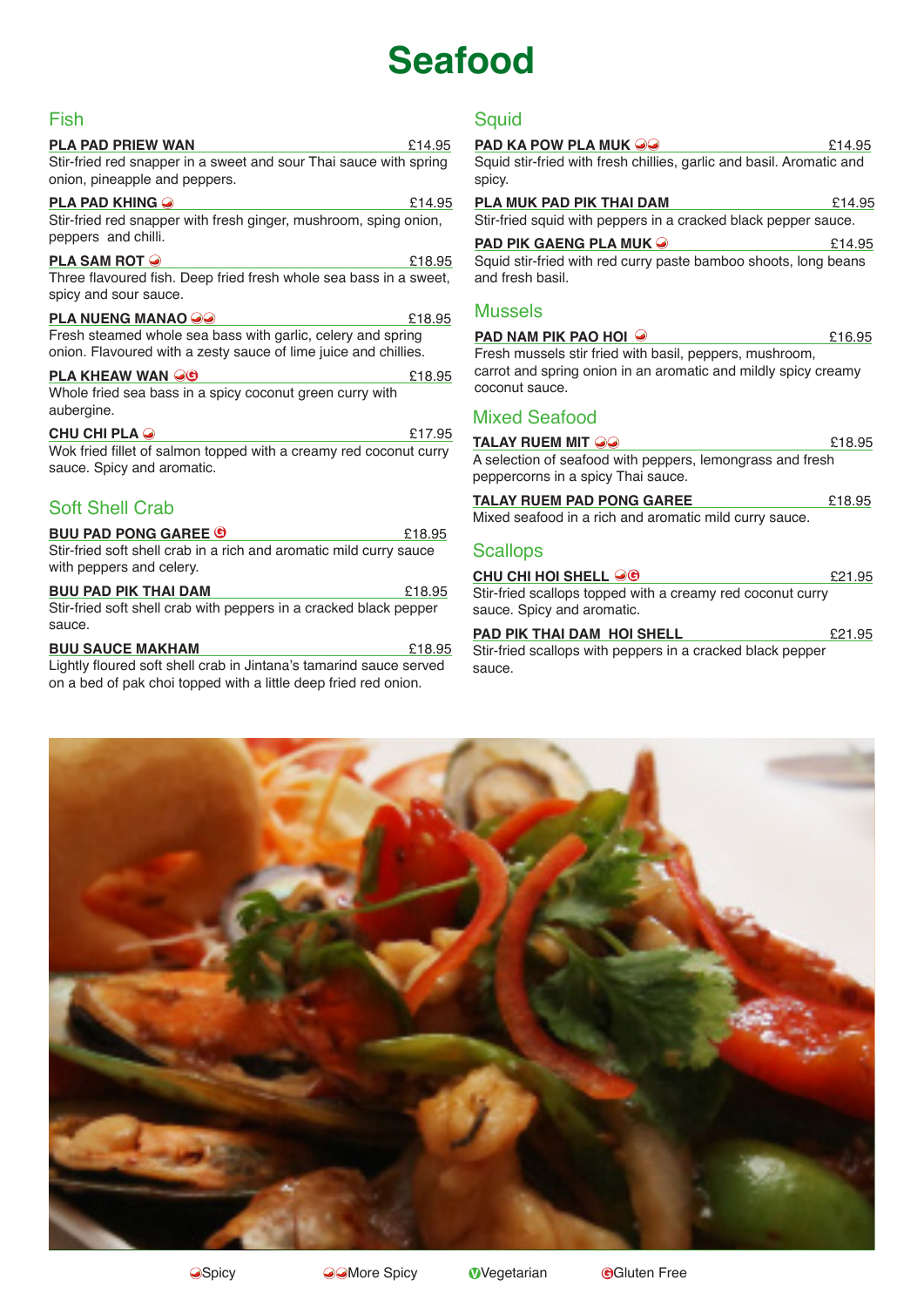# **Seafood**

# Fish

### **PLA PAD PRIEW WAN**  $£14.95$

Stir-fried red snapper in a sweet and sour Thai sauce with spring onion, pineapple and peppers.

### **PLA PAD KHING**  $\odot$

Stir-fried red snapper with fresh ginger, mushroom, sping onion, peppers and chilli.

### **PLA SAM ROT**  $\odot$  218.95

Three flavoured fish. Deep fried fresh whole sea bass in a sweet, spicy and sour sauce.

#### **PLA NUENG MANAO** <sup>3</sup> Fresh steamed whole sea bass with garlic, celery and spring onion. Flavoured with a zesty sauce of lime juice and chillies.

### **PLA KHEAW WAN CO** 218.95

Whole fried sea bass in a spicy coconut green curry with aubergine.

### **CHU CHI PLA**  $\odot$  217.95

Wok fried fillet of salmon topped with a creamy red coconut curry sauce. Spicy and aromatic.

# Soft Shell Crab

| <b>BUU PAD PONG GAREE ©</b>                                        | £18.95 |
|--------------------------------------------------------------------|--------|
| Stir-fried soft shell crab in a rich and aromatic mild curry sauce |        |
| with peppers and celery.                                           |        |

**BUU PAD PIK THAI DAM E18.95** Stir-fried soft shell crab with peppers in a cracked black pepper sauce.

### **BUU SAUCE MAKHAM**  $£18.95$

Lightly floured soft shell crab in Jintana's tamarind sauce served on a bed of pak choi topped with a little deep fried red onion.

# **Squid**

| <b>PAD KA POW PLA MUK <math>\circledcirc</math></b>                            | £14.95 |
|--------------------------------------------------------------------------------|--------|
| Squid stir-fried with fresh chillies, garlic and basil. Aromatic and<br>spicy. |        |
| PLA MUK PAD PIK THAI DAM                                                       | £14.95 |
| Stir-fried squid with peppers in a cracked black pepper sauce.                 |        |

**PAD PIK GAENG PLA MUK** £14.95 Squid stir-fried with red curry paste bamboo shoots, long beans and fresh basil.

### Mussels

| PAD NAM PIK PAO HOI $\odot$                                                                                               | £16.95 |
|---------------------------------------------------------------------------------------------------------------------------|--------|
| Fresh mussels stir fried with basil, peppers, mushroom,<br>carrot and spring onion in an aromatic and mildly spicy creamy |        |
| coconut sauce.                                                                                                            |        |
| <b>Mixed Seafood</b>                                                                                                      |        |

| <b>TALAY RUEM MIT @@</b>                                  | £18.95 |
|-----------------------------------------------------------|--------|
| A selection of seafood with peppers, lemongrass and fresh |        |
| peppercorns in a spicy Thai sauce.                        |        |
| TALAY RUEM PAD PONG GAREE                                 | £18.95 |

Mixed seafood in a rich and aromatic mild curry sauce.

### **Scallops**

### **CHU CHI HOI SHELL**  $\bigcirc \Theta$  21.95

Stir-fried scallops topped with a creamy red coconut curry sauce. Spicy and aromatic.

| <b>PAD PIK THAI DAM HOI SHELL</b>                          | £21.95 |
|------------------------------------------------------------|--------|
| Stir-fried scallops with peppers in a cracked black pepper |        |
| SAUCA                                                      |        |